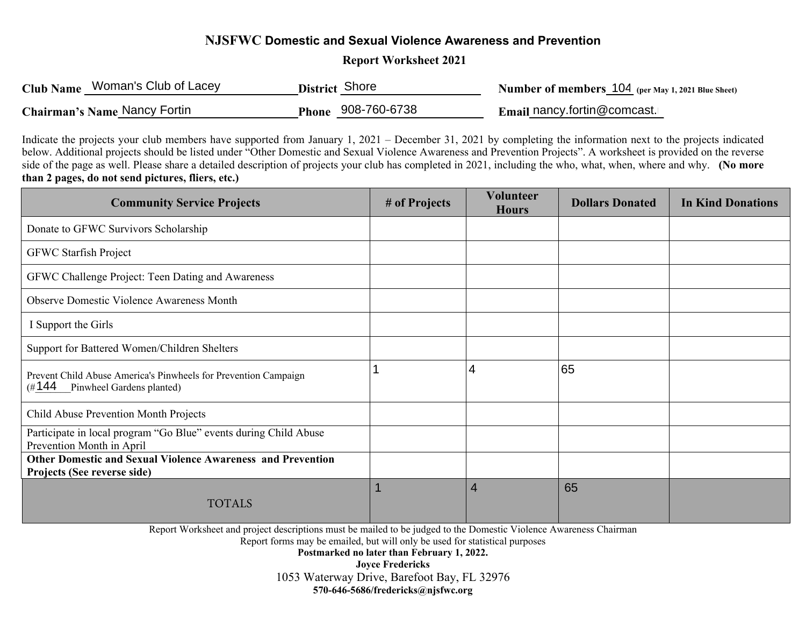## **NJSFWC Domestic and Sexual Violence Awareness and Prevention**

 **Report Worksheet 2021** 

| Club Name Woman's Club of Lacey | District Shore     | <b>Number of members 104</b> (per May 1, 2021 Blue Sheet) |
|---------------------------------|--------------------|-----------------------------------------------------------|
| Chairman's Name Nancy Fortin    | Phone 908-760-6738 | Email nancy.fortin@comcast.                               |

Indicate the projects your club members have supported from January 1, 2021 – December 31, 2021 by completing the information next to the projects indicated below. Additional projects should be listed under "Other Domestic and Sexual Violence Awareness and Prevention Projects". A worksheet is provided on the reverse side of the page as well. Please share a detailed description of projects your club has completed in 2021, including the who, what, when, where and why. **(No more than 2 pages, do not send pictures, fliers, etc.)** 

| <b>Community Service Projects</b>                                                                      | # of Projects | <b>Volunteer</b><br><b>Hours</b> | <b>Dollars Donated</b> | <b>In Kind Donations</b> |
|--------------------------------------------------------------------------------------------------------|---------------|----------------------------------|------------------------|--------------------------|
| Donate to GFWC Survivors Scholarship                                                                   |               |                                  |                        |                          |
| <b>GFWC Starfish Project</b>                                                                           |               |                                  |                        |                          |
| GFWC Challenge Project: Teen Dating and Awareness                                                      |               |                                  |                        |                          |
| <b>Observe Domestic Violence Awareness Month</b>                                                       |               |                                  |                        |                          |
| I Support the Girls                                                                                    |               |                                  |                        |                          |
| Support for Battered Women/Children Shelters                                                           |               |                                  |                        |                          |
| Prevent Child Abuse America's Pinwheels for Prevention Campaign<br>(#144)<br>Pinwheel Gardens planted) |               | 4                                | 65                     |                          |
| Child Abuse Prevention Month Projects                                                                  |               |                                  |                        |                          |
| Participate in local program "Go Blue" events during Child Abuse<br>Prevention Month in April          |               |                                  |                        |                          |
| <b>Other Domestic and Sexual Violence Awareness and Prevention</b><br>Projects (See reverse side)      |               |                                  |                        |                          |
| <b>TOTALS</b>                                                                                          |               | $\overline{4}$                   | 65                     |                          |

Report Worksheet and project descriptions must be mailed to be judged to the Domestic Violence Awareness Chairman

Report forms may be emailed, but will only be used for statistical purposes

**Postmarked no later than February 1, 2022. Joyce Fredericks**  1053 Waterway Drive, Barefoot Bay, FL 32976 **570-646-5686/fredericks@njsfwc.org**